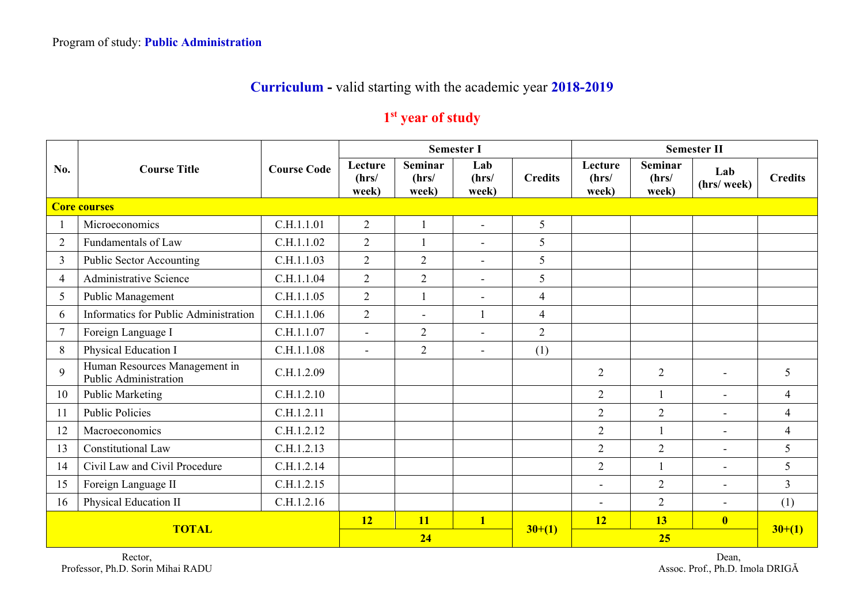## **Curriculum -** valid starting with the academic year **2018-2019**

## **1st year of study**

|                |                                                        |                    |                           |                                  | <b>Semester I</b>        |                |                           |                                  | <b>Semester II</b>      |                |
|----------------|--------------------------------------------------------|--------------------|---------------------------|----------------------------------|--------------------------|----------------|---------------------------|----------------------------------|-------------------------|----------------|
| No.            | <b>Course Title</b>                                    | <b>Course Code</b> | Lecture<br>(hrs/<br>week) | <b>Seminar</b><br>(hrs/<br>week) | Lab<br>(hrs/<br>week)    | <b>Credits</b> | Lecture<br>(hrs/<br>week) | <b>Seminar</b><br>(hrs/<br>week) | Lab<br>(hrs/week)       | <b>Credits</b> |
|                | <b>Core courses</b>                                    |                    |                           |                                  |                          |                |                           |                                  |                         |                |
|                | Microeconomics                                         | C.H.1.1.01         | $\overline{2}$            |                                  | $\blacksquare$           | 5              |                           |                                  |                         |                |
| $\overline{2}$ | Fundamentals of Law                                    | C.H.1.1.02         | $\overline{2}$            | $\mathbf{1}$                     | $\overline{\phantom{a}}$ | 5              |                           |                                  |                         |                |
| $\overline{3}$ | <b>Public Sector Accounting</b>                        | C.H.1.1.03         | $\overline{2}$            | $\overline{2}$                   | $\blacksquare$           | 5              |                           |                                  |                         |                |
| $\overline{4}$ | Administrative Science                                 | C.H.1.1.04         | $\overline{2}$            | $\overline{2}$                   | $\sim$                   | 5              |                           |                                  |                         |                |
| 5              | Public Management                                      | C.H.1.1.05         | $\overline{2}$            | $\mathbf{1}$                     | $\overline{\phantom{a}}$ | $\overline{4}$ |                           |                                  |                         |                |
| 6              | Informatics for Public Administration                  | C.H.1.1.06         | $\overline{2}$            | $\blacksquare$                   |                          | $\overline{4}$ |                           |                                  |                         |                |
| 7              | Foreign Language I                                     | C.H.1.1.07         | $\blacksquare$            | $\overline{2}$                   | $\overline{\phantom{a}}$ | $\overline{2}$ |                           |                                  |                         |                |
| 8              | Physical Education I                                   | C.H.1.1.08         | $\blacksquare$            | $\overline{2}$                   | $\blacksquare$           | (1)            |                           |                                  |                         |                |
| 9              | Human Resources Management in<br>Public Administration | C.H.1.2.09         |                           |                                  |                          |                | $\overline{2}$            | $\overline{2}$                   |                         | 5              |
| 10             | <b>Public Marketing</b>                                | C.H.1.2.10         |                           |                                  |                          |                | $\overline{2}$            | $\mathbf{1}$                     | $\blacksquare$          | $\overline{4}$ |
| 11             | <b>Public Policies</b>                                 | C.H.1.2.11         |                           |                                  |                          |                | $\overline{2}$            | $\overline{2}$                   |                         | $\overline{4}$ |
| 12             | Macroeconomics                                         | C.H.1.2.12         |                           |                                  |                          |                | $\overline{2}$            |                                  | $\blacksquare$          | $\overline{4}$ |
| 13             | Constitutional Law                                     | C.H.1.2.13         |                           |                                  |                          |                | $\overline{2}$            | $\overline{2}$                   | $\blacksquare$          | 5              |
| 14             | Civil Law and Civil Procedure                          | C.H.1.2.14         |                           |                                  |                          |                | $\overline{2}$            |                                  |                         | 5              |
| 15             | Foreign Language II                                    | C.H.1.2.15         |                           |                                  |                          |                | $\blacksquare$            | $\overline{2}$                   | $\blacksquare$          | 3              |
| 16             | Physical Education II                                  | C.H.1.2.16         |                           |                                  |                          |                |                           | $\overline{2}$                   | $\blacksquare$          | (1)            |
|                | <b>TOTAL</b>                                           |                    | <b>12</b>                 | <b>11</b>                        | $\mathbf{1}$             |                | 12                        | 13                               | $\overline{\mathbf{0}}$ |                |
|                |                                                        |                    |                           | 24                               |                          | $30+(1)$       |                           | 25                               |                         | $30+(1)$       |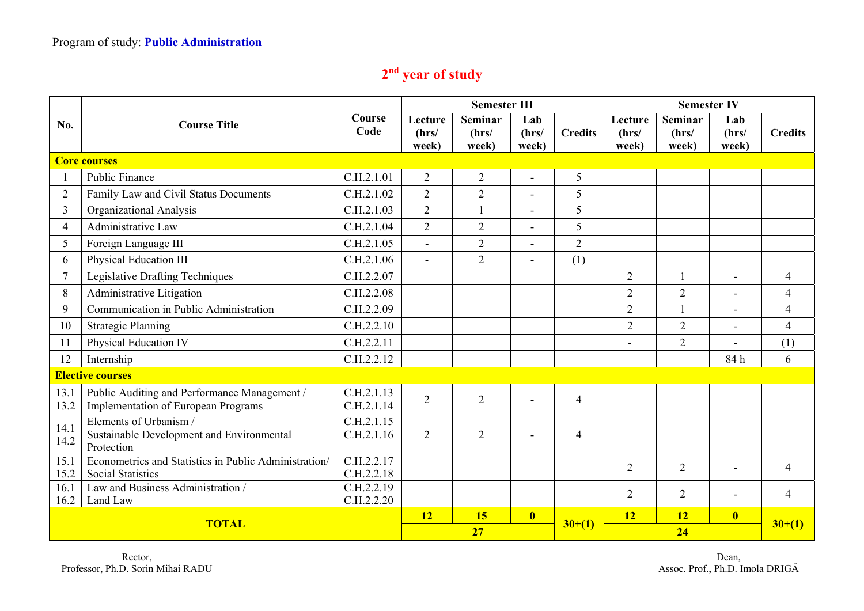## **2nd year of study**

|                |                                                                                     |                          |                           | <b>Semester III</b>       |                          |                |                           | <b>Semester IV</b>               |                         |                |
|----------------|-------------------------------------------------------------------------------------|--------------------------|---------------------------|---------------------------|--------------------------|----------------|---------------------------|----------------------------------|-------------------------|----------------|
| No.            | <b>Course Title</b>                                                                 | Course<br>Code           | Lecture<br>(hrs/<br>week) | Seminar<br>(hrs/<br>week) | Lab<br>(hrs/<br>week)    | <b>Credits</b> | Lecture<br>(hrs/<br>week) | <b>Seminar</b><br>(hrs/<br>week) | Lab<br>(hrs/<br>week)   | <b>Credits</b> |
|                | <b>Core courses</b>                                                                 |                          |                           |                           |                          |                |                           |                                  |                         |                |
|                | <b>Public Finance</b>                                                               | C.H.2.1.01               | $\overline{2}$            | $\mathbf{2}$              |                          | 5              |                           |                                  |                         |                |
| $\overline{2}$ | Family Law and Civil Status Documents                                               | C.H.2.1.02               | $\overline{2}$            | $\overline{2}$            | $\sim$                   | 5              |                           |                                  |                         |                |
| 3              | Organizational Analysis                                                             | C.H.2.1.03               | $\overline{2}$            |                           | $\overline{a}$           | 5              |                           |                                  |                         |                |
| $\overline{4}$ | Administrative Law                                                                  | C.H.2.1.04               | $\overline{2}$            | $\overline{2}$            | $\overline{a}$           | 5              |                           |                                  |                         |                |
| 5              | Foreign Language III                                                                | C.H.2.1.05               | $\sim$                    | $\overline{2}$            | $\overline{\phantom{a}}$ | $\overline{2}$ |                           |                                  |                         |                |
| 6              | Physical Education III                                                              | C.H.2.1.06               | $\blacksquare$            | $\overline{2}$            |                          | (1)            |                           |                                  |                         |                |
| $\overline{7}$ | Legislative Drafting Techniques                                                     | C.H.2.2.07               |                           |                           |                          |                | $\overline{2}$            | $\overline{1}$                   | $\blacksquare$          | 4              |
| 8              | Administrative Litigation                                                           | C.H.2.2.08               |                           |                           |                          |                | $\overline{2}$            | $\overline{2}$                   | $\overline{a}$          | $\overline{4}$ |
| 9              | Communication in Public Administration                                              | C.H.2.2.09               |                           |                           |                          |                | $\overline{2}$            |                                  | $\overline{a}$          | $\overline{4}$ |
| 10             | <b>Strategic Planning</b>                                                           | C.H.2.2.10               |                           |                           |                          |                | $\overline{2}$            | $\overline{2}$                   |                         | $\overline{4}$ |
| 11             | Physical Education IV                                                               | C.H.2.2.11               |                           |                           |                          |                |                           | $\overline{2}$                   |                         | (1)            |
| 12             | Internship                                                                          | C.H.2.2.12               |                           |                           |                          |                |                           |                                  | 84 h                    | 6              |
|                | <b>Elective courses</b>                                                             |                          |                           |                           |                          |                |                           |                                  |                         |                |
| 13.1<br>13.2   | Public Auditing and Performance Management /<br>Implementation of European Programs | C.H.2.1.13<br>C.H.2.1.14 | $\overline{2}$            | $\overline{2}$            |                          | $\overline{4}$ |                           |                                  |                         |                |
| 14.1<br>14.2   | Elements of Urbanism /<br>Sustainable Development and Environmental<br>Protection   | C.H.2.1.15<br>C.H.2.1.16 | $\overline{2}$            | $\overline{2}$            |                          | $\overline{4}$ |                           |                                  |                         |                |
| 15.1<br>15.2   | Econometrics and Statistics in Public Administration/<br><b>Social Statistics</b>   | C.H.2.2.17<br>C.H.2.2.18 |                           |                           |                          |                | $\overline{2}$            | 2                                |                         | 4              |
| 16.1           | Law and Business Administration /                                                   | C.H.2.2.19               |                           |                           |                          |                | $\overline{2}$            | $\overline{2}$                   |                         | 4              |
| 16.2           | Land Law                                                                            | C.H.2.2.20               |                           |                           |                          |                |                           |                                  |                         |                |
|                | <b>TOTAL</b>                                                                        |                          | <b>12</b>                 | 15                        | $\overline{\mathbf{0}}$  | $30+(1)$       | <b>12</b>                 | <b>12</b>                        | $\overline{\mathbf{0}}$ | $30+(1)$       |
|                |                                                                                     |                          |                           | 27                        |                          |                |                           | 24                               |                         |                |